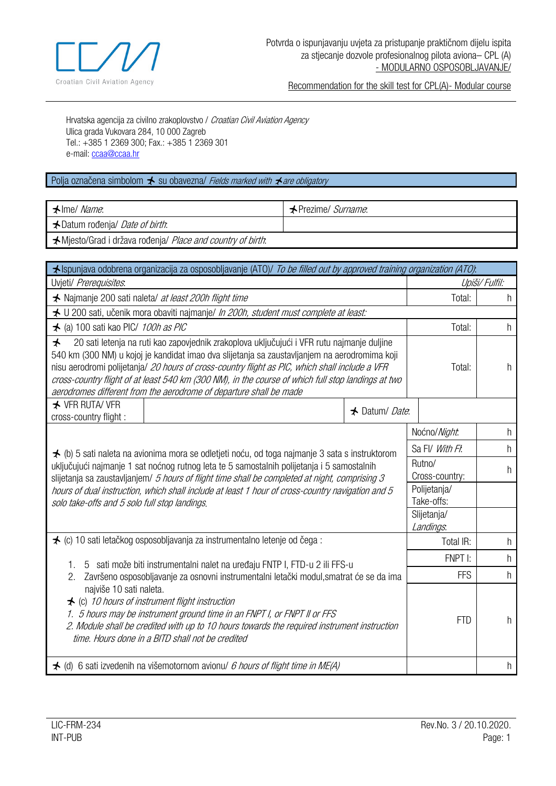

Recommendation for the skill test for CPL(A)- Modular course

Hrvatska agencija za civilno zrakoplovstvo / Croatian Civil Aviation Agency Ulica grada Vukovara 284, 10 000 Zagreb Tel.: +385 1 2369 300; Fax.: +385 1 2369 301 e-mail: [ccaa@ccaa.hr](mailto:ccaa@ccaa.hr)

## Polja označena simbolom  $\bigstar$  su obaveznal Fields marked with  $\bigstar$  are obligatory

| $\blacktriangle$ lme/ Name.                                 | <b>★Prezime/ Surname.</b> |
|-------------------------------------------------------------|---------------------------|
| <b>★</b> Datum rođenja/ <i>Date of birth</i> :              |                           |
| ★ Mjesto/Grad i država rođenja/ Place and country of birth. |                           |

| ★ Ispunjava odobrena organizacija za osposobljavanje (ATO)/ To be filled out by approved training organization (ATO):                                                                                                                                                                                                                                                                                                                                                                            |                                                                                      |                          |                            |    |
|--------------------------------------------------------------------------------------------------------------------------------------------------------------------------------------------------------------------------------------------------------------------------------------------------------------------------------------------------------------------------------------------------------------------------------------------------------------------------------------------------|--------------------------------------------------------------------------------------|--------------------------|----------------------------|----|
| Uvjeti/ Prerequisites.                                                                                                                                                                                                                                                                                                                                                                                                                                                                           |                                                                                      | Upiši/Fulfil:            |                            |    |
| ★ Najmanje 200 sati naleta/ at least 200h flight time                                                                                                                                                                                                                                                                                                                                                                                                                                            |                                                                                      |                          | Total:                     | h  |
|                                                                                                                                                                                                                                                                                                                                                                                                                                                                                                  | ★ U 200 sati, učenik mora obaviti najmanje/ In 200h, student must complete at least: |                          |                            |    |
| ★ (a) 100 sati kao PIC/ 100h as PIC                                                                                                                                                                                                                                                                                                                                                                                                                                                              |                                                                                      |                          | Total:                     | h  |
| 20 sati letenja na ruti kao zapovjednik zrakoplova uključujući i VFR rutu najmanje duljine<br>$\bigstar$<br>540 km (300 NM) u kojoj je kandidat imao dva slijetanja sa zaustavljanjem na aerodromima koji<br>nisu aerodromi polijetanja/ 20 hours of cross-country flight as PIC, which shall include a VFR<br>cross-country flight of at least 540 km (300 NM), in the course of which full stop landings at two<br>aerodromes different from the aerodrome of departure shall be made          |                                                                                      | Total:                   | h                          |    |
| <b>★ VFR RUTA/ VFR</b><br>cross-country flight :                                                                                                                                                                                                                                                                                                                                                                                                                                                 |                                                                                      | ★ Datum/ Date:           |                            |    |
|                                                                                                                                                                                                                                                                                                                                                                                                                                                                                                  |                                                                                      |                          | Noćno/Night.               | h. |
|                                                                                                                                                                                                                                                                                                                                                                                                                                                                                                  |                                                                                      |                          | Sa Fl/ With Fl.            | h  |
| ★ (b) 5 sati naleta na avionima mora se odletjeti noću, od toga najmanje 3 sata s instruktorom<br>uključujući najmanje 1 sat noćnog rutnog leta te 5 samostalnih polijetanja i 5 samostalnih<br>slijetanja sa zaustavljanjem/ 5 hours of flight time shall be completed at night, comprising 3<br>hours of dual instruction, which shall include at least 1 hour of cross-country navigation and 5<br>solo take-offs and 5 solo full stop landings.                                              |                                                                                      |                          | Rutno/<br>Cross-country:   | h  |
|                                                                                                                                                                                                                                                                                                                                                                                                                                                                                                  |                                                                                      |                          | Polijetanja/<br>Take-offs: |    |
|                                                                                                                                                                                                                                                                                                                                                                                                                                                                                                  |                                                                                      | Slijetanja/<br>Landings. |                            |    |
|                                                                                                                                                                                                                                                                                                                                                                                                                                                                                                  | ★ (c) 10 sati letačkog osposobljavanja za instrumentalno letenje od čega :           |                          | Total IR:                  | h  |
|                                                                                                                                                                                                                                                                                                                                                                                                                                                                                                  |                                                                                      |                          | FNPT I:                    | h  |
| 5 sati može biti instrumentalni nalet na uređaju FNTP I, FTD-u 2 ili FFS-u<br>Završeno osposobljavanje za osnovni instrumentalni letački modul, smatrat će se da ima<br>2.<br>najviše 10 sati naleta.<br>$\bigstar$ (c) 10 hours of instrument flight instruction<br>1. 5 hours may be instrument ground time in an FNPT I, or FNPT II or FFS<br>2. Module shall be credited with up to 10 hours towards the required instrument instruction<br>time. Hours done in a BITD shall not be credited |                                                                                      | <b>FFS</b>               | h                          |    |
|                                                                                                                                                                                                                                                                                                                                                                                                                                                                                                  |                                                                                      | <b>FTD</b>               | h                          |    |
|                                                                                                                                                                                                                                                                                                                                                                                                                                                                                                  | ★ (d) 6 sati izvedenih na višemotornom avionu/ 6 hours of flight time in ME(A)       |                          |                            | h  |